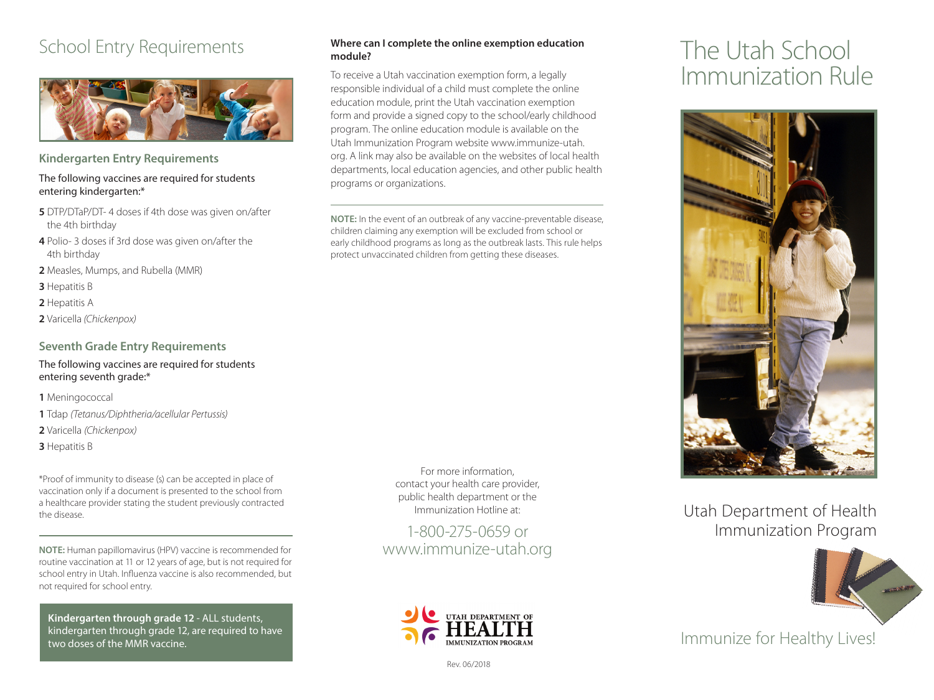## School Entry Requirements



**Kindergarten Entry Requirements** 

#### The following vaccines are required for students entering kindergarten:\*

- **5** DTP/DTaP/DT- 4 doses if 4th dose was given on/after the 4th birthday
- **4** Polio- 3 doses if 3rd dose was given on/after the 4th birthday
- **2** Measles, Mumps, and Rubella (MMR)
- **3** Hepatitis B
- **2** Hepatitis A
- **2** Varicella *(Chickenpox)*

#### **Seventh Grade Entry Requirements**

The following vaccines are required for students entering seventh grade:\*

**1** Meningococcal

- **1** Tdap *(Tetanus/Diphtheria/acellular Pertussis)*
- **2** Varicella *(Chickenpox)*
- **3** Hepatitis B

\*Proof of immunity to disease (s) can be accepted in place of vaccination only if a document is presented to the school from a healthcare provider stating the student previously contracted the disease.

**NOTE:** Human papillomavirus (HPV) vaccine is recommended for routine vaccination at 11 or 12 years of age, but is not required for school entry in Utah. Influenza vaccine is also recommended, but not required for school entry.

 **Kindergarten through grade 12** - ALL students, kindergarten through grade 12, are required to have two doses of the MMR vaccine.

#### **Where can I complete the online exemption education module?**

To receive a Utah vaccination exemption form, a legally responsible individual of a child must complete the online education module, print the Utah vaccination exemption form and provide a signed copy to the school/early childhood program. The online education module is available on the Utah Immunization Program website www.immunize-utah. org. A link may also be available on the websites of local health departments, local education agencies, and other public health programs or organizations.

**NOTE:** In the event of an outbreak of any vaccine-preventable disease, children claiming any exemption will be excluded from school or early childhood programs as long as the outbreak lasts. This rule helps protect unvaccinated children from getting these diseases.

> For more information, contact your health care provider, public health department or the Immunization Hotline at:

1-800-275-0659 or www.immunize-utah.org



#### Rev. 06/2018

# The Utah School Immunization Rule



### Utah Department of Health Immunization Program



Immunize for Healthy Lives!